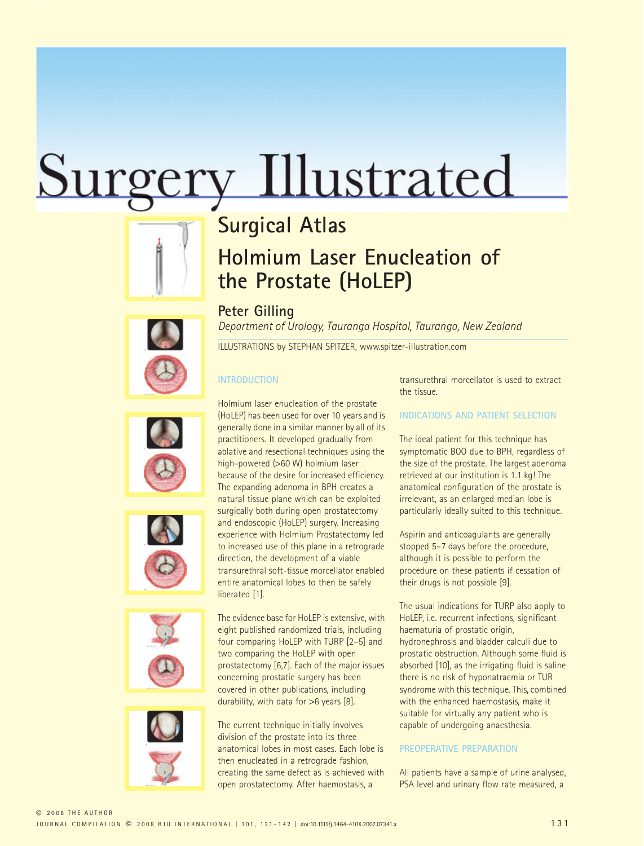# Surgery Illustrated

## **Surgical Atlas**

# **Holmium Laser Enucleation of the Prostate (HoLEP)**











**Peter Gilling** *Department of Urology, Tauranga Hospital, Tauranga, New Zealand*

ILLUSTRATIONS by STEPHAN SPITZER, www.spitzer-illustration.com

## **INTRODUCTION**

Holmium laser enucleation of the prostate (HoLEP) has been used for over 10 years and is generally done in a similar manner by all of its practitioners. It developed gradually from ablative and resectional techniques using the high-powered (>60 W) holmium laser because of the desire for increased efficiency. The expanding adenoma in BPH creates a natural tissue plane which can be exploited surgically both during open prostatectomy and endoscopic (HoLEP) surgery. Increasing experience with Holmium Prostatectomy led to increased use of this plane in a retrograde direction, the development of a viable transurethral soft-tissue morcellator enabled entire anatomical lobes to then be safely liberated [1].

The evidence base for HoLEP is extensive, with eight published randomized trials, including four comparing HoLEP with TURP [2–5] and two comparing the HoLEP with open prostatectomy [6,7]. Each of the major issues concerning prostatic surgery has been covered in other publications, including durability, with data for >6 years [8].

The current technique initially involves division of the prostate into its three anatomical lobes in most cases. Each lobe is then enucleated in a retrograde fashion, creating the same defect as is achieved with open prostatectomy. After haemostasis, a

transurethral morcellator is used to extract the tissue.

### **INDICATIONS AND PATIENT SELECTION**

The ideal patient for this technique has symptomatic BOO due to BPH, regardless of the size of the prostate. The largest adenoma retrieved at our institution is 1.1 kg! The anatomical configuration of the prostate is irrelevant, as an enlarged median lobe is particularly ideally suited to this technique.

Aspirin and anticoagulants are generally stopped 5–7 days before the procedure, although it is possible to perform the procedure on these patients if cessation of their drugs is not possible [9].

The usual indications for TURP also apply to HoLEP, i.e. recurrent infections, significant haematuria of prostatic origin, hydronephrosis and bladder calculi due to prostatic obstruction. Although some fluid is absorbed [10], as the irrigating fluid is saline there is no risk of hyponatraemia or TUR syndrome with this technique. This, combined with the enhanced haemostasis, make it suitable for virtually any patient who is capable of undergoing anaesthesia.

#### **PREOPERATIVE PREPARATION**

All patients have a sample of urine analysed, PSA level and urinary flow rate measured, a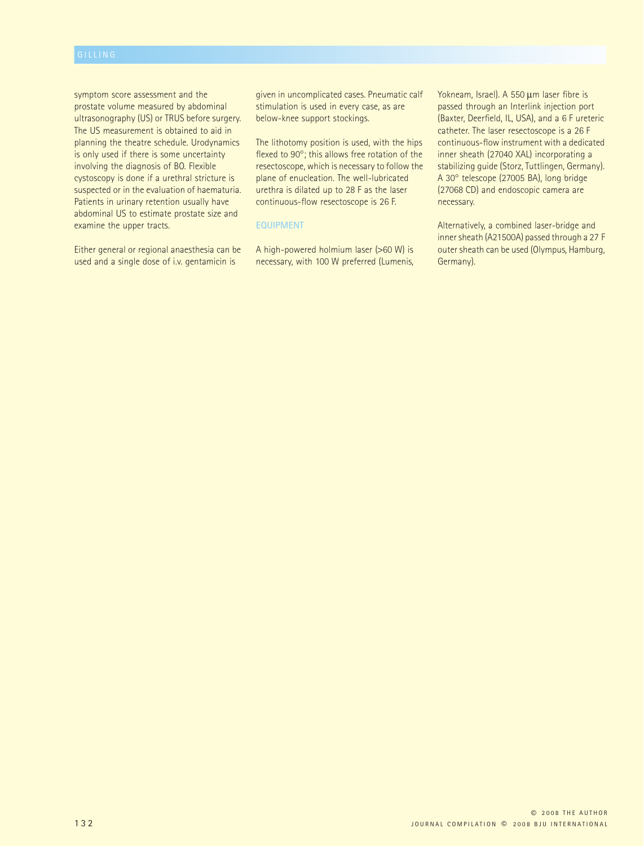symptom score assessment and the prostate volume measured by abdominal ultrasonography (US) or TRUS before surgery. The US measurement is obtained to aid in planning the theatre schedule. Urodynamics is only used if there is some uncertainty involving the diagnosis of BO. Flexible cystoscopy is done if a urethral stricture is suspected or in the evaluation of haematuria. Patients in urinary retention usually have abdominal US to estimate prostate size and examine the upper tracts.

Either general or regional anaesthesia can be used and a single dose of i.v. gentamicin is

given in uncomplicated cases. Pneumatic calf stimulation is used in every case, as are below-knee support stockings.

The lithotomy position is used, with the hips flexed to 90°; this allows free rotation of the resectoscope, which is necessary to follow the plane of enucleation. The well-lubricated urethra is dilated up to 28 F as the laser continuous-flow resectoscope is 26 F.

#### **EQUIPMENT**

A high-powered holmium laser (>60 W) is necessary, with 100 W preferred (Lumenis, Yokneam, Israel). A 550 µm laser fibre is passed through an Interlink injection port (Baxter, Deerfield, IL, USA), and a 6 F ureteric catheter. The laser resectoscope is a 26 F continuous-flow instrument with a dedicated inner sheath (27040 XAL) incorporating a stabilizing guide (Storz, Tuttlingen, Germany). A 30° telescope (27005 BA), long bridge (27068 CD) and endoscopic camera are necessary.

Alternatively, a combined laser-bridge and inner sheath (A21500A) passed through a 27 F outer sheath can be used (Olympus, Hamburg, Germany).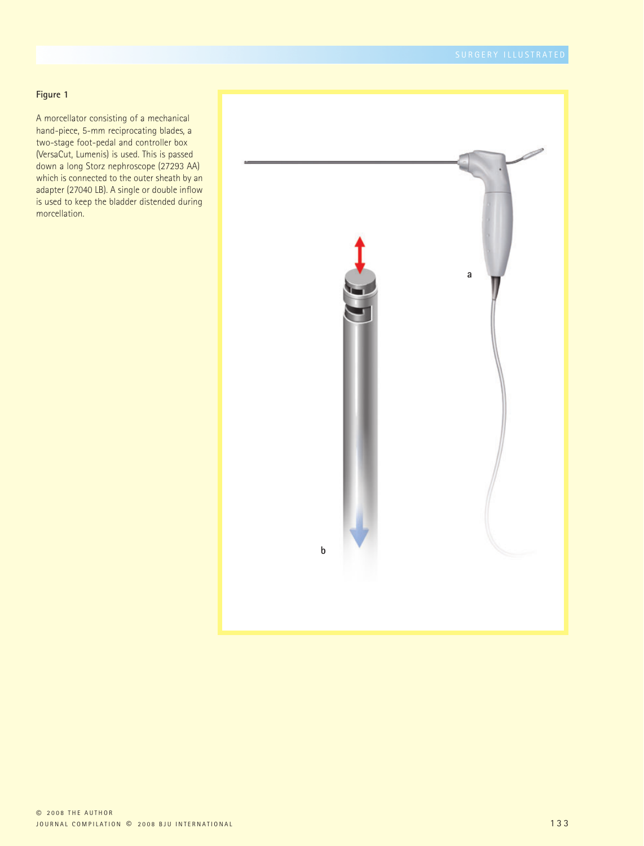A morcellator consisting of a mechanical hand-piece, 5-mm reciprocating blades, a two-stage foot-pedal and controller box (VersaCut, Lumenis) is used. This is passed down a long Storz nephroscope (27293 AA) which is connected to the outer sheath by an adapter (27040 LB). A single or double inflow is used to keep the bladder distended during morcellation.

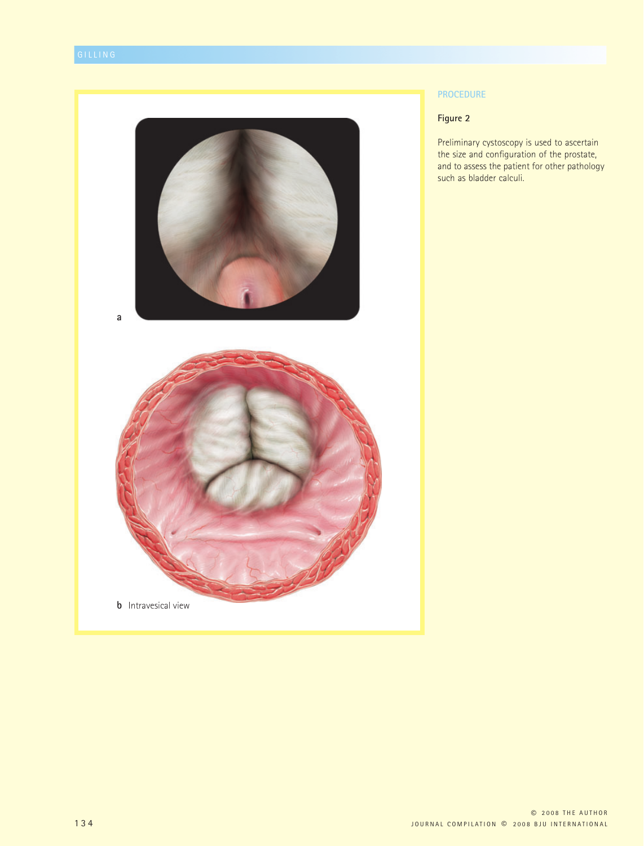

#### **PROCEDURE**

#### **Figure 2**

Preliminary cystoscopy is used to ascertain the size and configuration of the prostate, and to assess the patient for other pathology such as bladder calculi.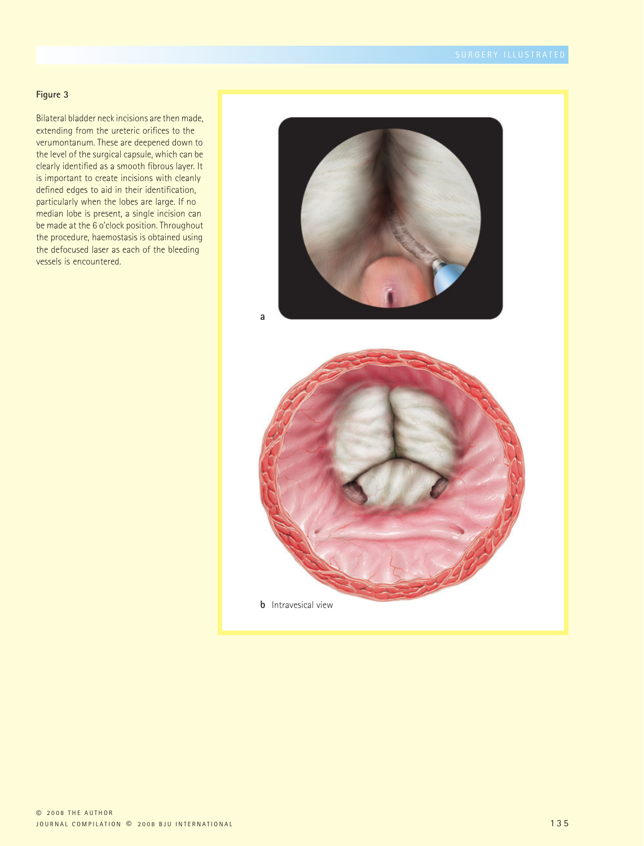Bilateral bladder neck incisions are then made, extending from the ureteric orifices to the verumontanum. These are deepened down to the level of the surgical capsule, which can be clearly identified as a smooth fibrous layer. It is important to create incisions with cleanly defined edges to aid in their identification, particularly when the lobes are large. If no median lobe is present, a single incision can be made at the 6 o'clock position. Throughout the procedure, haemostasis is obtained using the defocused laser as each of the bleeding vessels is encountered.

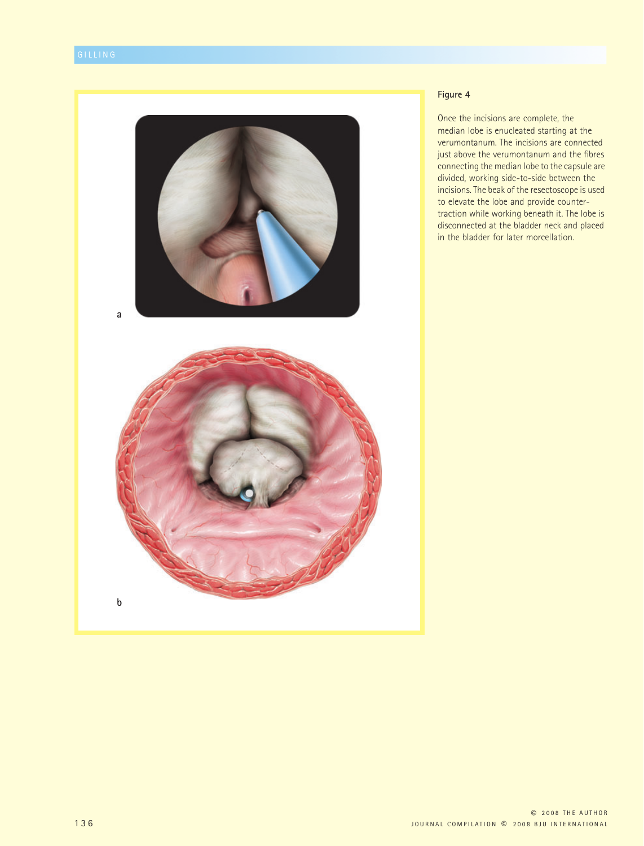

Once the incisions are complete, the median lobe is enucleated starting at the verumontanum. The incisions are connected just above the verumontanum and the fibres connecting the median lobe to the capsule are divided, working side-to-side between the incisions. The beak of the resectoscope is used to elevate the lobe and provide countertraction while working beneath it. The lobe is disconnected at the bladder neck and placed in the bladder for later morcellation.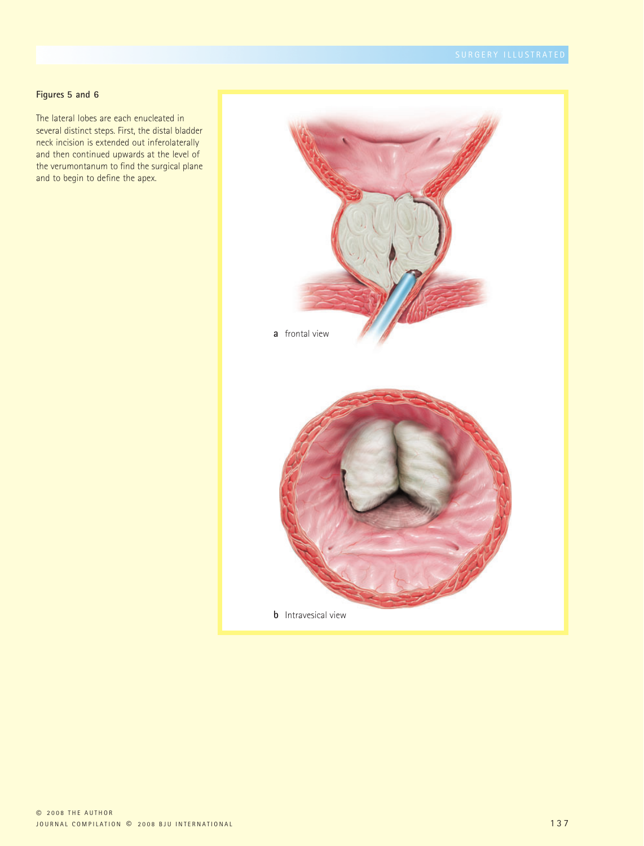#### **Figures 5 and 6**

The lateral lobes are each enucleated in several distinct steps. First, the distal bladder neck incision is extended out inferolaterally and then continued upwards at the level of the verumontanum to find the surgical plane and to begin to define the apex.

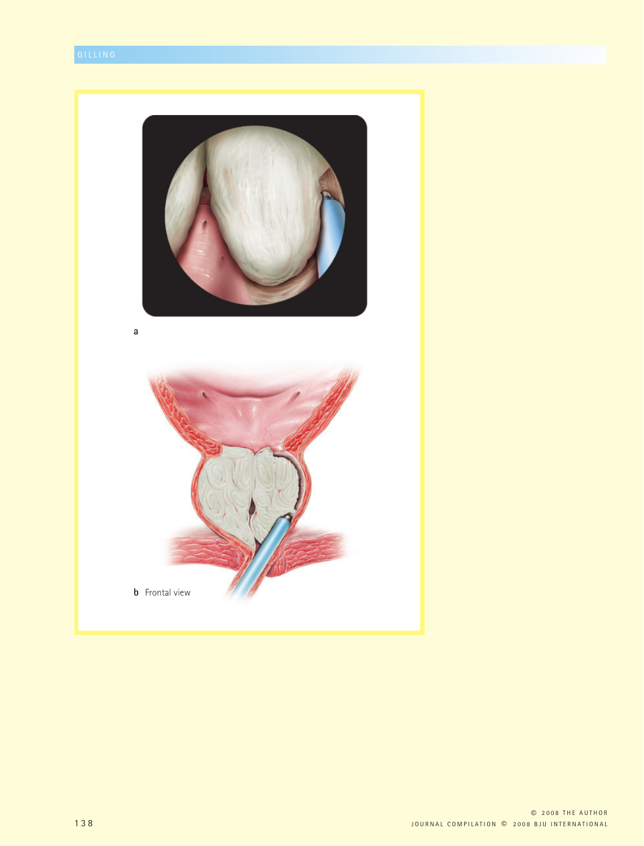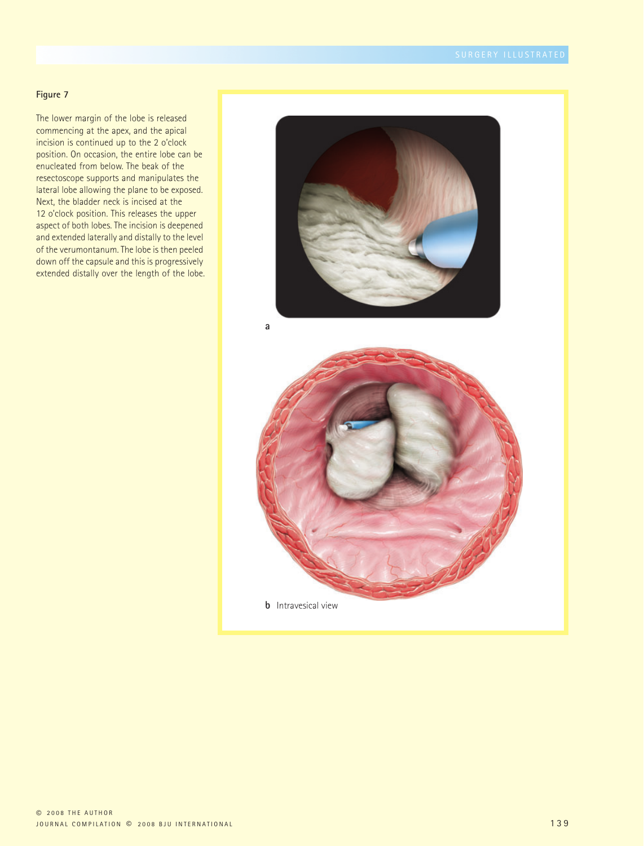The lower margin of the lobe is released commencing at the apex, and the apical incision is continued up to the 2 o'clock position. On occasion, the entire lobe can be enucleated from below. The beak of the resectoscope supports and manipulates the lateral lobe allowing the plane to be exposed. Next, the bladder neck is incised at the 12 o'clock position. This releases the upper aspect of both lobes. The incision is deepened and extended laterally and distally to the level of the verumontanum. The lobe is then peeled down off the capsule and this is progressively extended distally over the length of the lobe.

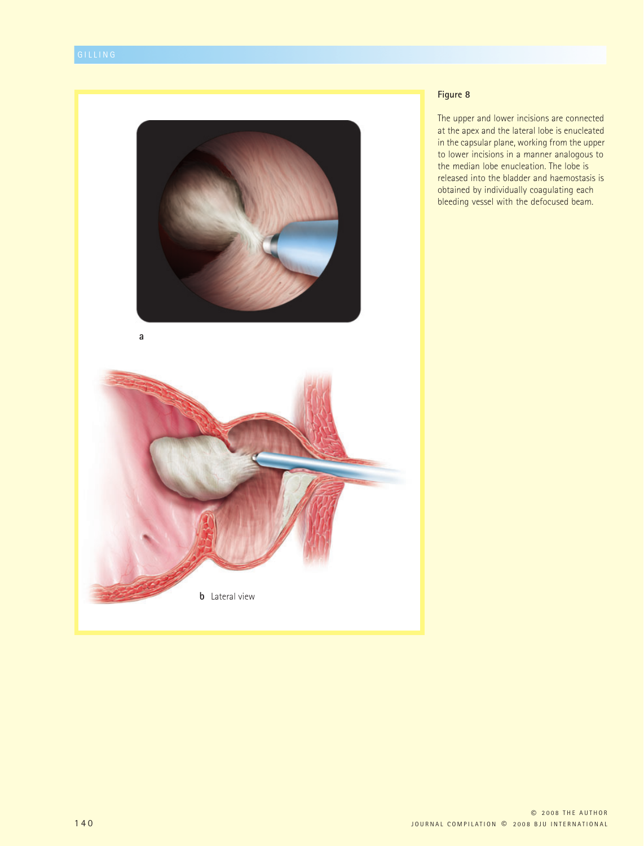

The upper and lower incisions are connected at the apex and the lateral lobe is enucleated in the capsular plane, working from the upper to lower incisions in a manner analogous to the median lobe enucleation. The lobe is released into the bladder and haemostasis is obtained by individually coagulating each bleeding vessel with the defocused beam.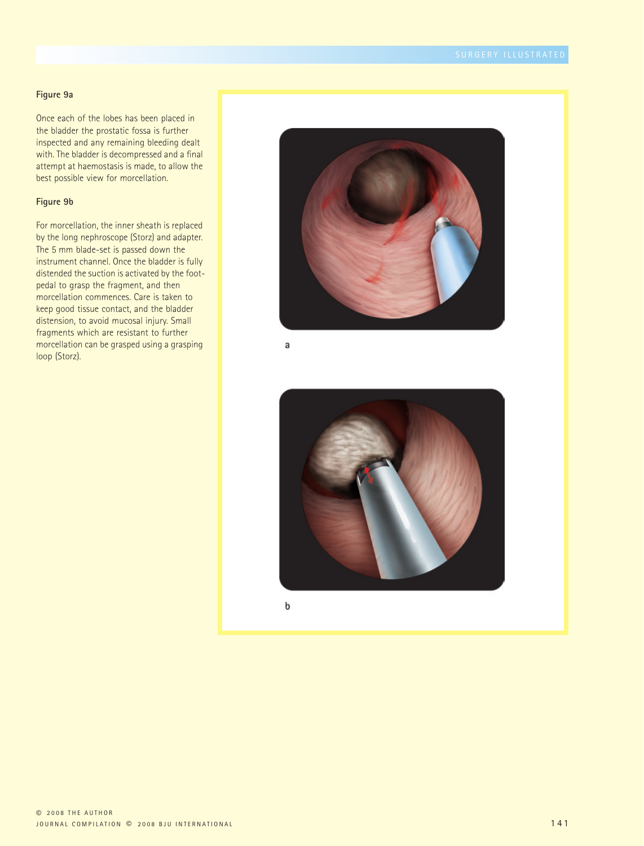#### **Figure 9a**

Once each of the lobes has been placed in the bladder the prostatic fossa is further inspected and any remaining bleeding dealt with. The bladder is decompressed and a final attempt at haemostasis is made, to allow the best possible view for morcellation.

#### **Figure 9b**

For morcellation, the inner sheath is replaced by the long nephroscope (Storz) and adapter. The 5 mm blade-set is passed down the instrument channel. Once the bladder is fully distended the suction is activated by the footpedal to grasp the fragment, and then morcellation commences. Care is taken to keep good tissue contact, and the bladder distension, to avoid mucosal injury. Small fragments which are resistant to further morcellation can be grasped using a grasping loop (Storz).



a